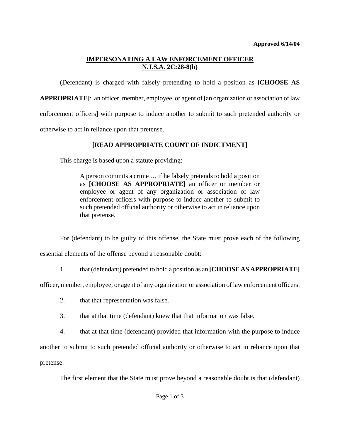## **IMPERSONATING A LAW ENFORCEMENT OFFICER N.J.S.A. 2C:28-8(b)**

(Defendant) is charged with falsely pretending to hold a position as **[CHOOSE AS** 

**APPROPRIATE]**: an officer, member, employee, or agent of [an organization or association of law

enforcement officers] with purpose to induce another to submit to such pretended authority or

otherwise to act in reliance upon that pretense.

## **[READ APPROPRIATE COUNT OF INDICTMENT]**

This charge is based upon a statute providing:

A person commits a crime … if he falsely pretends to hold a position as **[CHOOSE AS APPROPRIATE]** an officer or member or employee or agent of any organization or association of law enforcement officers with purpose to induce another to submit to such pretended official authority or otherwise to act in reliance upon that pretense.

For (defendant) to be guilty of this offense, the State must prove each of the following

essential elements of the offense beyond a reasonable doubt:

1. that (defendant) pretended to hold a position as an **[CHOOSE AS APPROPRIATE]** 

officer, member, employee, or agent of any organization or association of law enforcement officers.

- 2. that that representation was false.
- 3. that at that time (defendant) knew that that information was false.
- 4. that at that time (defendant) provided that information with the purpose to induce

another to submit to such pretended official authority or otherwise to act in reliance upon that pretense.

The first element that the State must prove beyond a reasonable doubt is that (defendant)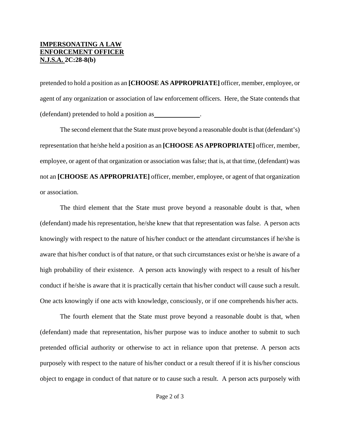## **IMPERSONATING A LAW ENFORCEMENT OFFICER N.J.S.A. 2C:28-8(b)**

pretended to hold a position as an **[CHOOSE AS APPROPRIATE]** officer, member, employee, or agent of any organization or association of law enforcement officers. Here, the State contends that (defendant) pretended to hold a position as .

The second element that the State must prove beyond a reasonable doubt is that (defendant's) representation that he/she held a position as an **[CHOOSE AS APPROPRIATE]** officer, member, employee, or agent of that organization or association was false; that is, at that time, (defendant) was not an **[CHOOSE AS APPROPRIATE]** officer, member, employee, or agent of that organization or association.

The third element that the State must prove beyond a reasonable doubt is that, when (defendant) made his representation, he/she knew that that representation was false. A person acts knowingly with respect to the nature of his/her conduct or the attendant circumstances if he/she is aware that his/her conduct is of that nature, or that such circumstances exist or he/she is aware of a high probability of their existence. A person acts knowingly with respect to a result of his/her conduct if he/she is aware that it is practically certain that his/her conduct will cause such a result. One acts knowingly if one acts with knowledge, consciously, or if one comprehends his/her acts.

 The fourth element that the State must prove beyond a reasonable doubt is that, when (defendant) made that representation, his/her purpose was to induce another to submit to such pretended official authority or otherwise to act in reliance upon that pretense. A person acts purposely with respect to the nature of his/her conduct or a result thereof if it is his/her conscious object to engage in conduct of that nature or to cause such a result. A person acts purposely with